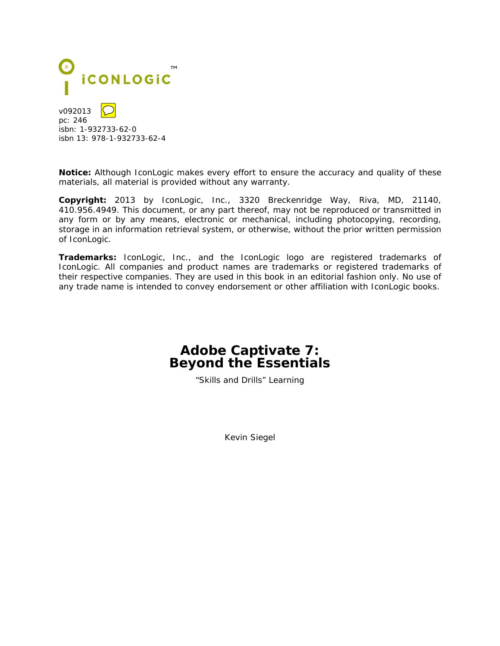

v092013 pc: 246 isbn: 1-932733-62-0 isbn 13: 978-1-932733-62-4

**Notice:** Although IconLogic makes every effort to ensure the accuracy and quality of these materials, all material is provided without any warranty.

**Copyright:** 2013 by IconLogic, Inc., 3320 Breckenridge Way, Riva, MD, 21140, 410.956.4949. This document, or any part thereof, may not be reproduced or transmitted in any form or by any means, electronic or mechanical, including photocopying, recording, storage in an information retrieval system, or otherwise, without the prior written permission of IconLogic.

**Trademarks:** IconLogic, Inc., and the IconLogic logo are registered trademarks of IconLogic. All companies and product names are trademarks or registered trademarks of their respective companies. They are used in this book in an editorial fashion only. No use of any trade name is intended to convey endorsement or other affiliation with IconLogic books.

## **Adobe Captivate 7: Beyond the Essentials**

"Skills and Drills" Learning

Kevin Siegel